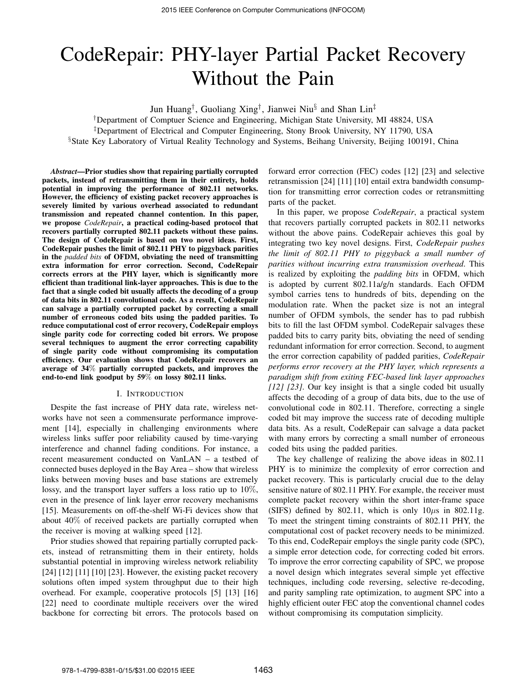# CodeRepair: PHY-layer Partial Packet Recovery Without the Pain

Jun Huang*†* , Guoliang Xing*†* , Jianwei Niu*§* and Shan Lin*‡*

*†*Department of Comptuer Science and Engineering, Michigan State University, MI 48824, USA

*‡*Department of Electrical and Computer Engineering, Stony Brook University, NY 11790, USA

*§*State Key Laboratory of Virtual Reality Technology and Systems, Beihang University, Beijing 100191, China

*Abstract*—Prior studies show that repairing partially corrupted packets, instead of retransmitting them in their entirety, holds potential in improving the performance of 802.11 networks. However, the efficiency of existing packet recovery approaches is severely limited by various overhead associated to redundant transmission and repeated channel contention. In this paper, we propose *CodeRepair*, a practical coding-based protocol that recovers partially corrupted 802.11 packets without these pains. The design of CodeRepair is based on two novel ideas. First, CodeRepair pushes the limit of 802.11 PHY to piggyback parities in the *padded bits* of OFDM, obviating the need of transmitting extra information for error correction. Second, CodeRepair corrects errors at the PHY layer, which is significantly more efficient than traditional link-layer approaches. This is due to the fact that a single coded bit usually affects the decoding of a group of data bits in 802.11 convolutional code. As a result, CodeRepair can salvage a partially corrupted packet by correcting a small number of erroneous coded bits using the padded parities. To reduce computational cost of error recovery, CodeRepair employs single parity code for correcting coded bit errors. We propose several techniques to augment the error correcting capability of single parity code without compromising its computation efficiency. Our evaluation shows that CodeRepair recovers an average of 34% partially corrupted packets, and improves the end-to-end link goodput by 59% on lossy 802.11 links.

## I. INTRODUCTION

Despite the fast increase of PHY data rate, wireless networks have not seen a commensurate performance improvement [14], especially in challenging environments where wireless links suffer poor reliability caused by time-varying interference and channel fading conditions. For instance, a recent measurement conducted on VanLAN – a testbed of connected buses deployed in the Bay Area – show that wireless links between moving buses and base stations are extremely lossy, and the transport layer suffers a loss ratio up to 10%, even in the presence of link layer error recovery mechanisms [15]. Measurements on off-the-shelf Wi-Fi devices show that about 40% of received packets are partially corrupted when the receiver is moving at walking speed [12].

Prior studies showed that repairing partially corrupted packets, instead of retransmitting them in their entirety, holds substantial potential in improving wireless network reliability [24] [12] [11] [10] [23]. However, the existing packet recovery solutions often imped system throughput due to their high overhead. For example, cooperative protocols [5] [13] [16] [22] need to coordinate multiple receivers over the wired backbone for correcting bit errors. The protocols based on forward error correction (FEC) codes [12] [23] and selective retransmission [24] [11] [10] entail extra bandwidth consumption for transmitting error correction codes or retransmitting parts of the packet.

In this paper, we propose *CodeRepair*, a practical system that recovers partially corrupted packets in 802.11 networks without the above pains. CodeRepair achieves this goal by integrating two key novel designs. First, *CodeRepair pushes the limit of 802.11 PHY to piggyback a small number of parities without incurring extra transmission overhead*. This is realized by exploiting the *padding bits* in OFDM, which is adopted by current 802.11a/g/n standards. Each OFDM symbol carries tens to hundreds of bits, depending on the modulation rate. When the packet size is not an integral number of OFDM symbols, the sender has to pad rubbish bits to fill the last OFDM symbol. CodeRepair salvages these padded bits to carry parity bits, obviating the need of sending redundant information for error correction. Second, to augment the error correction capability of padded parities, *CodeRepair performs error recovery at the PHY layer, which represents a paradigm shift from exiting FEC-based link layer approaches [12] [23]*. Our key insight is that a single coded bit usually affects the decoding of a group of data bits, due to the use of convolutional code in 802.11. Therefore, correcting a single coded bit may improve the success rate of decoding multiple data bits. As a result, CodeRepair can salvage a data packet with many errors by correcting a small number of erroneous coded bits using the padded parities.

The key challenge of realizing the above ideas in 802.11 PHY is to minimize the complexity of error correction and packet recovery. This is particularly crucial due to the delay sensitive nature of 802.11 PHY. For example, the receiver must complete packet recovery within the short inter-frame space (SIFS) defined by 802.11, which is only  $10\mu s$  in 802.11g. To meet the stringent timing constraints of 802.11 PHY, the computational cost of packet recovery needs to be minimized. To this end, CodeRepair employs the single parity code (SPC), a simple error detection code, for correcting coded bit errors. To improve the error correcting capability of SPC, we propose a novel design which integrates several simple yet effective techniques, including code reversing, selective re-decoding, and parity sampling rate optimization, to augment SPC into a highly efficient outer FEC atop the conventional channel codes without compromising its computation simplicity.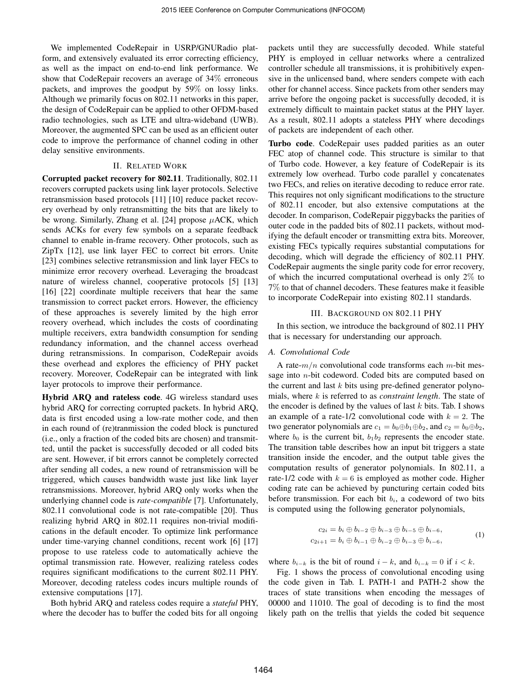We implemented CodeRepair in USRP/GNURadio platform, and extensively evaluated its error correcting efficiency, as well as the impact on end-to-end link performance. We show that CodeRepair recovers an average of 34% erroneous packets, and improves the goodput by 59% on lossy links. Although we primarily focus on 802.11 networks in this paper, the design of CodeRepair can be applied to other OFDM-based radio technologies, such as LTE and ultra-wideband (UWB). Moreover, the augmented SPC can be used as an efficient outer code to improve the performance of channel coding in other delay sensitive environments.

# II. RELATED WORK

Corrupted packet recovery for 802.11. Traditionally, 802.11 recovers corrupted packets using link layer protocols. Selective retransmission based protocols [11] [10] reduce packet recovery overhead by only retransmitting the bits that are likely to be wrong. Similarly, Zhang et al. [24] propose *µ*ACK, which sends ACKs for every few symbols on a separate feedback channel to enable in-frame recovery. Other protocols, such as ZipTx [12], use link layer FEC to correct bit errors. Unite [23] combines selective retransmission and link layer FECs to minimize error recovery overhead. Leveraging the broadcast nature of wireless channel, cooperative protocols [5] [13] [16] [22] coordinate multiple receivers that hear the same transmission to correct packet errors. However, the efficiency of these approaches is severely limited by the high error reovery overhead, which includes the costs of coordinating multiple receivers, extra bandwidth consumption for sending redundancy information, and the channel access overhead during retransmissions. In comparison, CodeRepair avoids these overhead and explores the efficiency of PHY packet recovery. Moreover, CodeRepair can be integrated with link layer protocols to improve their performance.

Hybrid ARQ and rateless code. 4G wireless standard uses hybrid ARQ for correcting corrupted packets. In hybrid ARQ, data is first encoded using a low-rate mother code, and then in each round of (re)tranmission the coded block is punctured (i.e., only a fraction of the coded bits are chosen) and transmitted, until the packet is successfully decoded or all coded bits are sent. However, if bit errors cannot be completely corrected after sending all codes, a new round of retransmission will be triggered, which causes bandwidth waste just like link layer retransmissions. Moreover, hybrid ARQ only works when the underlying channel code is *rate-compatible* [7]. Unfortunately, 802.11 convolutional code is not rate-compatible [20]. Thus realizing hybrid ARQ in 802.11 requires non-trivial modifications in the default encoder. To optimize link performance under time-varying channel conditions, recent work [6] [17] propose to use rateless code to automatically achieve the optimal transmission rate. However, realizing rateless codes requires significant modifications to the current 802.11 PHY. Moreover, decoding rateless codes incurs multiple rounds of extensive computations [17].

Both hybrid ARQ and rateless codes require a *stateful* PHY, where the decoder has to buffer the coded bits for all ongoing

packets until they are successfully decoded. While stateful PHY is employed in celluar networks where a centralized controller schedule all transmissions, it is prohibitively expensive in the unlicensed band, where senders compete with each other for channel access. Since packets from other senders may arrive before the ongoing packet is successfully decoded, it is extremely difficult to maintain packet status at the PHY layer. As a result, 802.11 adopts a stateless PHY where decodings of packets are independent of each other.

Turbo code. CodeRepair uses padded parities as an outer FEC atop of channel code. This structure is similar to that of Turbo code. However, a key feature of CodeRepair is its extremely low overhead. Turbo code parallel y concatenates two FECs, and relies on iterative decoding to reduce error rate. This requires not only significant modifications to the structure of 802.11 encoder, but also extensive computations at the decoder. In comparison, CodeRepair piggybacks the parities of outer code in the padded bits of 802.11 packets, without modifying the default encoder or transmitting extra bits. Moreover, existing FECs typically requires substantial computations for decoding, which will degrade the efficiency of 802.11 PHY. CodeRepair augments the single parity code for error recovery, of which the incurred computational overhead is only 2% to 7% to that of channel decoders. These features make it feasible to incorporate CodeRepair into existing 802.11 standards.

# III. BACKGROUND ON 802.11 PHY

In this section, we introduce the background of 802.11 PHY that is necessary for understanding our approach.

## *A. Convolutional Code*

A rate-*m/n* convolutional code transforms each *m*-bit message into *n*-bit codeword. Coded bits are computed based on the current and last *k* bits using pre-defined generator polynomials, where *k* is referred to as *constraint length*. The state of the encoder is defined by the values of last *k* bits. Tab. I shows an example of a rate- $1/2$  convolutional code with  $k = 2$ . The two generator polynomials are  $c_1 = b_0 \oplus b_1 \oplus b_2$ , and  $c_2 = b_0 \oplus b_2$ , where  $b_0$  is the current bit,  $b_1b_2$  represents the encoder state. The transition table describes how an input bit triggers a state transition inside the encoder, and the output table gives the computation results of generator polynomials. In 802.11, a rate-1/2 code with  $k = 6$  is employed as mother code. Higher coding rate can be achieved by puncturing certain coded bits before transmission. For each bit *bi*, a codeword of two bits is computed using the following generator polynomials,

$$
c_{2i} = b_i \oplus b_{i-2} \oplus b_{i-3} \oplus b_{i-5} \oplus b_{i-6},
$$
  
\n
$$
c_{2i+1} = b_i \oplus b_{i-1} \oplus b_{i-2} \oplus b_{i-3} \oplus b_{i-6},
$$
  
\n(1)

where  $b_{i-k}$  is the bit of round  $i-k$ , and  $b_{i-k}=0$  if  $i < k$ .

Fig. 1 shows the process of convolutional encoding using the code given in Tab. I. PATH-1 and PATH-2 show the traces of state transitions when encoding the messages of 00000 and 11010. The goal of decoding is to find the most likely path on the trellis that yields the coded bit sequence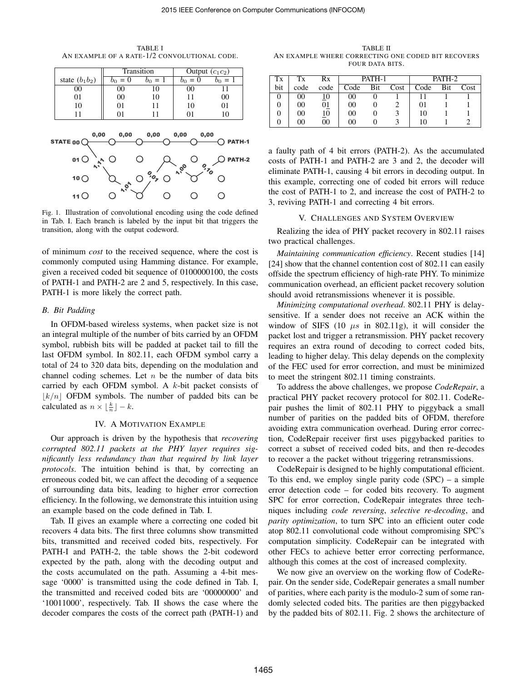TABLE I AN EXAMPLE OF A RATE-1/2 CONVOLUTIONAL CODE.



Fig. 1. Illustration of convolutional encoding using the code defined in Tab. I. Each branch is labeled by the input bit that triggers the transition, along with the output codeword.

of minimum *cost* to the received sequence, where the cost is commonly computed using Hamming distance. For example, given a received coded bit sequence of 0100000100, the costs of PATH-1 and PATH-2 are 2 and 5, respectively. In this case, PATH-1 is more likely the correct path.

## *B. Bit Padding*

In OFDM-based wireless systems, when packet size is not an integral multiple of the number of bits carried by an OFDM symbol, rubbish bits will be padded at packet tail to fill the last OFDM symbol. In 802.11, each OFDM symbol carry a total of 24 to 320 data bits, depending on the modulation and channel coding schemes. Let *n* be the number of data bits carried by each OFDM symbol. A *k*-bit packet consists of *⌊k/n⌋* OFDM symbols. The number of padded bits can be calculated as  $n \times \lfloor \frac{k}{n} \rfloor - k$ .

## IV. A MOTIVATION EXAMPLE

Our approach is driven by the hypothesis that *recovering corrupted 802.11 packets at the PHY layer requires significantly less redundancy than that required by link layer protocols*. The intuition behind is that, by correcting an erroneous coded bit, we can affect the decoding of a sequence of surrounding data bits, leading to higher error correction efficiency. In the following, we demonstrate this intuition using an example based on the code defined in Tab. I.

Tab. II gives an example where a correcting one coded bit recovers 4 data bits. The first three columns show transmitted bits, transmitted and received coded bits, respectively. For PATH-I and PATH-2, the table shows the 2-bit codeword expected by the path, along with the decoding output and the costs accumulated on the path. Assuming a 4-bit message '0000' is transmitted using the code defined in Tab. I, the transmitted and received coded bits are '00000000' and '10011000', respectively. Tab. II shows the case where the decoder compares the costs of the correct path (PATH-1) and

TABLE II AN EXAMPLE WHERE CORRECTING ONE CODED BIT RECOVERS FOUR DATA BITS.

| Тx  | Tx   | Rx   | PATH-1 |     |      | PATH-2 |     |      |
|-----|------|------|--------|-----|------|--------|-----|------|
| bit | code | code | Code   | Bit | Cost | Code   | Bit | Cost |
|     |      | 10   | 00     |     |      |        |     |      |
|     | 00   | 91   | 00     |     |      | 01     |     |      |
|     | 00   | 10   | 00     |     |      | 10     |     |      |
|     |      | 00   |        |     |      |        |     |      |

a faulty path of 4 bit errors (PATH-2). As the accumulated costs of PATH-1 and PATH-2 are 3 and 2, the decoder will eliminate PATH-1, causing 4 bit errors in decoding output. In this example, correcting one of coded bit errors will reduce the cost of PATH-1 to 2, and increase the cost of PATH-2 to 3, reviving PATH-1 and correcting 4 bit errors.

# V. CHALLENGES AND SYSTEM OVERVIEW

Realizing the idea of PHY packet recovery in 802.11 raises two practical challenges.

*Maintaining communication efficiency*. Recent studies [14] [24] show that the channel contention cost of 802.11 can easily offside the spectrum efficiency of high-rate PHY. To minimize communication overhead, an efficient packet recovery solution should avoid retransmissions whenever it is possible.

*Minimizing computational overhead*. 802.11 PHY is delaysensitive. If a sender does not receive an ACK within the window of SIFS (10  $\mu s$  in 802.11g), it will consider the packet lost and trigger a retransmission. PHY packet recovery requires an extra round of decoding to correct coded bits, leading to higher delay. This delay depends on the complexity of the FEC used for error correction, and must be minimized to meet the stringent 802.11 timing constraints.

To address the above challenges, we propose *CodeRepair*, a practical PHY packet recovery protocol for 802.11. CodeRepair pushes the limit of 802.11 PHY to piggyback a small number of parities on the padded bits of OFDM, therefore avoiding extra communication overhead. During error correction, CodeRepair receiver first uses piggybacked parities to correct a subset of received coded bits, and then re-decodes to recover a the packet without triggering retransmissions.

CodeRepair is designed to be highly computational efficient. To this end, we employ single parity code  $(SPC)$  – a simple error detection code – for coded bits recovery. To augment SPC for error correction, CodeRepair integrates three techniques including *code reversing*, *selective re-decoding*, and *parity optimization*, to turn SPC into an efficient outer code atop 802.11 convolutional code without compromising SPC's computation simplicity. CodeRepair can be integrated with other FECs to achieve better error correcting performance, although this comes at the cost of increased complexity.

We now give an overview on the working flow of CodeRepair. On the sender side, CodeRepair generates a small number of parities, where each parity is the modulo-2 sum of some randomly selected coded bits. The parities are then piggybacked by the padded bits of 802.11. Fig. 2 shows the architecture of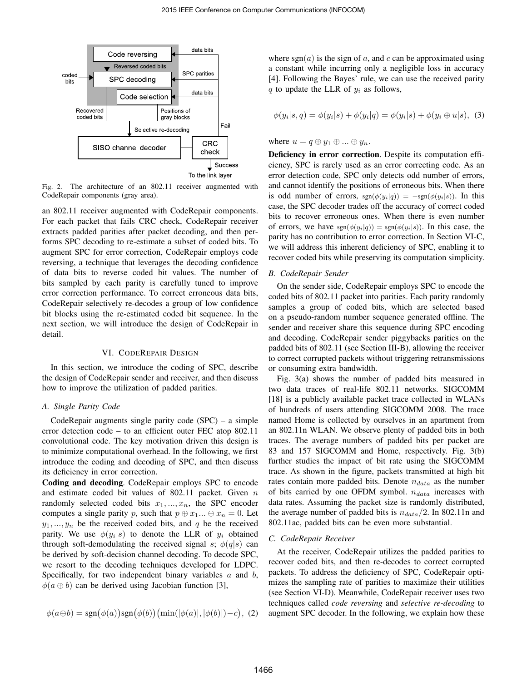

Fig. 2. The architecture of an 802.11 receiver augmented with CodeRepair components (gray area).

an 802.11 receiver augmented with CodeRepair components. For each packet that fails CRC check, CodeRepair receiver extracts padded parities after packet decoding, and then performs SPC decoding to re-estimate a subset of coded bits. To augment SPC for error correction, CodeRepair employs code reversing, a technique that leverages the decoding confidence of data bits to reverse coded bit values. The number of bits sampled by each parity is carefully tuned to improve error correction performance. To correct erroneous data bits, CodeRepair selectively re-decodes a group of low confidence bit blocks using the re-estimated coded bit sequence. In the next section, we will introduce the design of CodeRepair in detail.

# VI. CODEREPAIR DESIGN

In this section, we introduce the coding of SPC, describe the design of CodeRepair sender and receiver, and then discuss how to improve the utilization of padded parities.

# *A. Single Parity Code*

CodeRepair augments single parity code (SPC) – a simple error detection code – to an efficient outer FEC atop 802.11 convolutional code. The key motivation driven this design is to minimize computational overhead. In the following, we first introduce the coding and decoding of SPC, and then discuss its deficiency in error correction.

Coding and decoding. CodeRepair employs SPC to encode and estimate coded bit values of 802.11 packet. Given *n* randomly selected coded bits  $x_1, \ldots, x_n$ , the SPC encoder computes a single parity *p*, such that  $p \oplus x_1 \dots \oplus x_n = 0$ . Let  $y_1, \ldots, y_n$  be the received coded bits, and *q* be the received parity. We use  $\phi(y_i|s)$  to denote the LLR of  $y_i$  obtained through soft-demodulating the received signal *s*;  $\phi(q|s)$  can be derived by soft-decision channel decoding. To decode SPC, we resort to the decoding techniques developed for LDPC. Specifically, for two independent binary variables *a* and *b*,  $\phi(a \oplus b)$  can be derived using Jacobian function [3],

$$
\phi(a \oplus b) = \text{sgn}(\phi(a))\text{sgn}(\phi(b))\left(\min(|\phi(a)|, |\phi(b)|) - c\right), (2)
$$

where  $sgn(a)$  is the sign of a, and c can be approximated using a constant while incurring only a negligible loss in accuracy [4]. Following the Bayes' rule, we can use the received parity *q* to update the LLR of *y<sup>i</sup>* as follows,

$$
\phi(y_i|s, q) = \phi(y_i|s) + \phi(y_i|q) = \phi(y_i|s) + \phi(y_i \oplus u|s), \tag{3}
$$

where  $u = q \oplus y_1 \oplus ... \oplus y_n$ .

Deficiency in error correction. Despite its computation efficiency, SPC is rarely used as an error correcting code. As an error detection code, SPC only detects odd number of errors, and cannot identify the positions of erroneous bits. When there is odd number of errors,  $sgn(\phi(y_i|q)) = -sgn(\phi(y_i|s))$ . In this case, the SPC decoder trades off the accuracy of correct coded bits to recover erroneous ones. When there is even number of errors, we have  $sgn(\phi(y_i|q)) = sgn(\phi(y_i|s))$ . In this case, the parity has no contribution to error correction. In Section VI-C, we will address this inherent deficiency of SPC, enabling it to recover coded bits while preserving its computation simplicity.

#### *B. CodeRepair Sender*

On the sender side, CodeRepair employs SPC to encode the coded bits of 802.11 packet into parities. Each parity randomly samples a group of coded bits, which are selected based on a pseudo-random number sequence generated offline. The sender and receiver share this sequence during SPC encoding and decoding. CodeRepair sender piggybacks parities on the padded bits of 802.11 (see Section III-B), allowing the receiver to correct corrupted packets without triggering retransmissions or consuming extra bandwidth.

Fig. 3(a) shows the number of padded bits measured in two data traces of real-life 802.11 networks. SIGCOMM [18] is a publicly available packet trace collected in WLANs of hundreds of users attending SIGCOMM 2008. The trace named Home is collected by ourselves in an apartment from an 802.11n WLAN. We observe plenty of padded bits in both traces. The average numbers of padded bits per packet are 83 and 157 SIGCOMM and Home, respectively. Fig. 3(b) further studies the impact of bit rate using the SIGCOMM trace. As shown in the figure, packets transmitted at high bit rates contain more padded bits. Denote *ndata* as the number of bits carried by one OFDM symbol. *ndata* increases with data rates. Assuming the packet size is randomly distributed, the average number of padded bits is  $n_{data}/2$ . In 802.11n and 802.11ac, padded bits can be even more substantial.

## *C. CodeRepair Receiver*

At the receiver, CodeRepair utilizes the padded parities to recover coded bits, and then re-decodes to correct corrupted packets. To address the deficiency of SPC, CodeRepair optimizes the sampling rate of parities to maximize their utilities (see Section VI-D). Meanwhile, CodeRepair receiver uses two techniques called *code reversing* and *selective re-decoding* to augment SPC decoder. In the following, we explain how these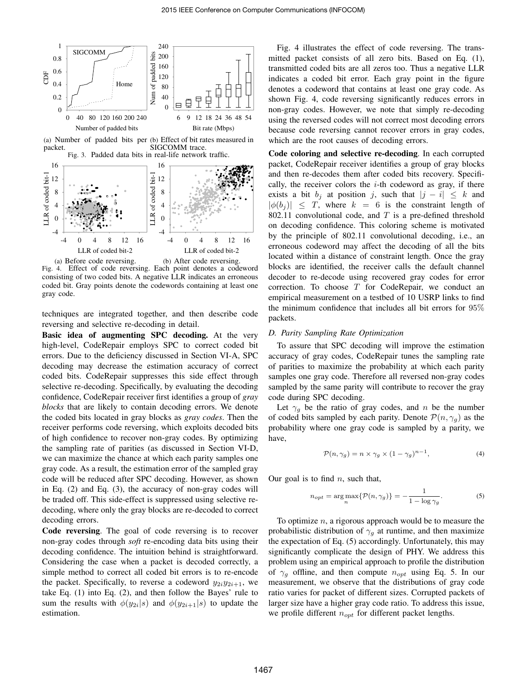

(a) Number of padded bits per (b) Effect of bit rates measured in packet. SIGCOMM trace. Fig. 3. Padded data bits in real-life network traffic.



Fig. 4. Effect of code reversing. Each point denotes a codeword consisting of two coded bits. A negative LLR indicates an erroneous coded bit. Gray points denote the codewords containing at least one gray code.

techniques are integrated together, and then describe code reversing and selective re-decoding in detail.

Basic idea of augmenting SPC decoding. At the very high-level, CodeRepair employs SPC to correct coded bit errors. Due to the deficiency discussed in Section VI-A, SPC decoding may decrease the estimation accuracy of correct coded bits. CodeRepair suppresses this side effect through selective re-decoding. Specifically, by evaluating the decoding confidence, CodeRepair receiver first identifies a group of *gray blocks* that are likely to contain decoding errors. We denote the coded bits located in gray blocks as *gray codes*. Then the receiver performs code reversing, which exploits decoded bits of high confidence to recover non-gray codes. By optimizing the sampling rate of parities (as discussed in Section VI-D, we can maximize the chance at which each parity samples one gray code. As a result, the estimation error of the sampled gray code will be reduced after SPC decoding. However, as shown in Eq. (2) and Eq. (3), the accuracy of non-gray codes will be traded off. This side-effect is suppressed using selective redecoding, where only the gray blocks are re-decoded to correct decoding errors.

Code reversing. The goal of code reversing is to recover non-gray codes through *soft* re-encoding data bits using their decoding confidence. The intuition behind is straightforward. Considering the case when a packet is decoded correctly, a simple method to correct all coded bit errors is to re-encode the packet. Specifically, to reverse a codeword  $y_{2i}y_{2i+1}$ , we take Eq. (1) into Eq. (2), and then follow the Bayes' rule to sum the results with  $\phi(y_{2i}|s)$  and  $\phi(y_{2i+1}|s)$  to update the estimation.

Fig. 4 illustrates the effect of code reversing. The transmitted packet consists of all zero bits. Based on Eq. (1), transmitted coded bits are all zeros too. Thus a negative LLR indicates a coded bit error. Each gray point in the figure denotes a codeword that contains at least one gray code. As shown Fig. 4, code reversing significantly reduces errors in non-gray codes. However, we note that simply re-decoding using the reversed codes will not correct most decoding errors because code reversing cannot recover errors in gray codes, which are the root causes of decoding errors.

Code coloring and selective re-decoding. In each corrupted packet, CodeRepair receiver identifies a group of gray blocks and then re-decodes them after coded bits recovery. Specifically, the receiver colors the *i*-th codeword as gray, if there exists a bit  $b_j$  at position *j*, such that  $|j - i| \leq k$  and  $|\phi(b_i)| \leq T$ , where  $k = 6$  is the constraint length of 802.11 convolutional code, and *T* is a pre-defined threshold on decoding confidence. This coloring scheme is motivated by the principle of 802.11 convolutional decoding, i.e., an erroneous codeword may affect the decoding of all the bits located within a distance of constraint length. Once the gray blocks are identified, the receiver calls the default channel decoder to re-decode using recovered gray codes for error correction. To choose *T* for CodeRepair, we conduct an empirical measurement on a testbed of 10 USRP links to find the minimum confidence that includes all bit errors for 95% packets.

## *D. Parity Sampling Rate Optimization*

To assure that SPC decoding will improve the estimation accuracy of gray codes, CodeRepair tunes the sampling rate of parities to maximize the probability at which each parity samples one gray code. Therefore all reversed non-gray codes sampled by the same parity will contribute to recover the gray code during SPC decoding.

Let  $\gamma_q$  be the ratio of gray codes, and *n* be the number of coded bits sampled by each parity. Denote  $P(n, \gamma_q)$  as the probability where one gray code is sampled by a parity, we have,

$$
\mathcal{P}(n,\gamma_g) = n \times \gamma_g \times (1-\gamma_g)^{n-1},\tag{4}
$$

Our goal is to find *n*, such that,

$$
n_{opt} = \underset{n}{\arg \max} \{ \mathcal{P}(n, \gamma_g) \} = -\frac{1}{1 - \log \gamma_g}.
$$
 (5)

To optimize *n*, a rigorous approach would be to measure the probabilistic distribution of  $\gamma_g$  at runtime, and then maximize the expectation of Eq. (5) accordingly. Unfortunately, this may significantly complicate the design of PHY. We address this problem using an empirical approach to profile the distribution of *γ<sup>g</sup>* offline, and then compute *nopt* using Eq. 5. In our measurement, we observe that the distributions of gray code ratio varies for packet of different sizes. Corrupted packets of larger size have a higher gray code ratio. To address this issue, we profile different *nopt* for different packet lengths.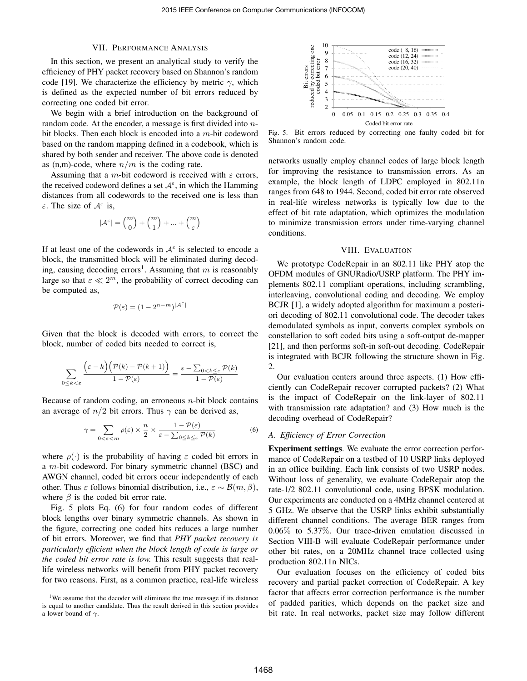# VII. PERFORMANCE ANALYSIS

In this section, we present an analytical study to verify the efficiency of PHY packet recovery based on Shannon's random code [19]. We characterize the efficiency by metric  $\gamma$ , which is defined as the expected number of bit errors reduced by correcting one coded bit error.

We begin with a brief introduction on the background of random code. At the encoder, a message is first divided into *n*bit blocks. Then each block is encoded into a *m*-bit codeword based on the random mapping defined in a codebook, which is shared by both sender and receiver. The above code is denoted as  $(n,m)$ -code, where  $n/m$  is the coding rate.

Assuming that a *m*-bit codeword is received with *ε* errors, the received codeword defines a set  $A^{\varepsilon}$ , in which the Hamming distances from all codewords to the received one is less than *ε*. The size of *<sup>A</sup> ε* is,

$$
|\mathcal{A}^\varepsilon| = {m \choose 0} + {m \choose 1} + \ldots + {m \choose \varepsilon}
$$

If at least one of the codewords in  $A^{\epsilon}$  is selected to encode a block, the transmitted block will be eliminated during decoding, causing decoding errors<sup>1</sup>. Assuming that  $m$  is reasonably large so that  $\varepsilon \ll 2^m$ , the probability of correct decoding can be computed as,

$$
\mathcal{P}(\varepsilon) = (1 - 2^{n-m})^{|\mathcal{A}^{\varepsilon}|}
$$

Given that the block is decoded with errors, to correct the block, number of coded bits needed to correct is,

$$
\sum_{0 \le k < \varepsilon} \frac{\left(\varepsilon - k\right)\left(\mathcal{P}(k) - \mathcal{P}(k+1)\right)}{1 - \mathcal{P}(\varepsilon)} = \frac{\varepsilon - \sum_{0 < k \le \varepsilon} \mathcal{P}(k)}{1 - \mathcal{P}(\varepsilon)}
$$

Because of random coding, an erroneous *n*-bit block contains an average of  $n/2$  bit errors. Thus  $\gamma$  can be derived as,

$$
\gamma = \sum_{0 < \varepsilon < m} \rho(\varepsilon) \times \frac{n}{2} \times \frac{1 - \mathcal{P}(\varepsilon)}{\varepsilon - \sum_{0 \le k \le \varepsilon} \mathcal{P}(k)} \tag{6}
$$

where  $\rho(\cdot)$  is the probability of having  $\varepsilon$  coded bit errors in a *m*-bit codeword. For binary symmetric channel (BSC) and AWGN channel, coded bit errors occur independently of each other. Thus  $\varepsilon$  follows binomial distribution, i.e.,  $\varepsilon \sim \mathcal{B}(m, \beta)$ , where  $\beta$  is the coded bit error rate.

Fig. 5 plots Eq. (6) for four random codes of different block lengths over binary symmetric channels. As shown in the figure, correcting one coded bits reduces a large number of bit errors. Moreover, we find that *PHY packet recovery is particularly efficient when the block length of code is large or the coded bit error rate is low.* This result suggests that reallife wireless networks will benefit from PHY packet recovery for two reasons. First, as a common practice, real-life wireless

<sup>1</sup>We assume that the decoder will eliminate the true message if its distance is equal to another candidate. Thus the result derived in this section provides a lower bound of *γ*.



Fig. 5. Bit errors reduced by correcting one faulty coded bit for Shannon's random code.

networks usually employ channel codes of large block length for improving the resistance to transmission errors. As an example, the block length of LDPC employed in 802.11n ranges from 648 to 1944. Second, coded bit error rate observed in real-life wireless networks is typically low due to the effect of bit rate adaptation, which optimizes the modulation to minimize transmission errors under time-varying channel conditions.

## VIII. EVALUATION

We prototype CodeRepair in an 802.11 like PHY atop the OFDM modules of GNURadio/USRP platform. The PHY implements 802.11 compliant operations, including scrambling, interleaving, convolutional coding and decoding. We employ BCJR [1], a widely adopted algorithm for maximum a posteriori decoding of 802.11 convolutional code. The decoder takes demodulated symbols as input, converts complex symbols on constellation to soft coded bits using a soft-output de-mapper [21], and then performs soft-in soft-out decoding. CodeRepair is integrated with BCJR following the structure shown in Fig. 2.

Our evaluation centers around three aspects. (1) How efficiently can CodeRepair recover corrupted packets? (2) What is the impact of CodeRepair on the link-layer of 802.11 with transmission rate adaptation? and (3) How much is the decoding overhead of CodeRepair?

#### *A. Efficiency of Error Correction*

Experiment settings. We evaluate the error correction performance of CodeRepair on a testbed of 10 USRP links deployed in an office building. Each link consists of two USRP nodes. Without loss of generality, we evaluate CodeRepair atop the rate-1/2 802.11 convolutional code, using BPSK modulation. Our experiments are conducted on a 4MHz channel centered at 5 GHz. We observe that the USRP links exhibit substantially different channel conditions. The average BER ranges from 0.06% to 5.37%. Our trace-driven emulation discussed in Section VIII-B will evaluate CodeRepair performance under other bit rates, on a 20MHz channel trace collected using production 802.11n NICs.

Our evaluation focuses on the efficiency of coded bits recovery and partial packet correction of CodeRepair. A key factor that affects error correction performance is the number of padded parities, which depends on the packet size and bit rate. In real networks, packet size may follow different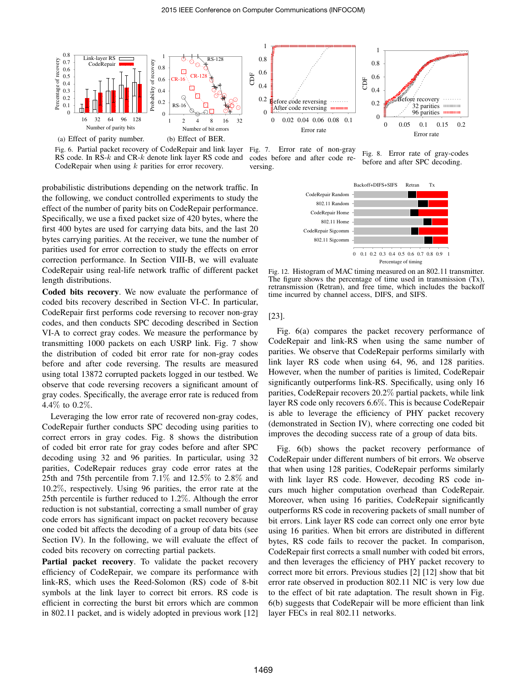

Fig. 6. Partial packet recovery of CodeRepair and link layer Fig. 7. Error rate of non-gray RS code. In RS-*k* and CR-*k* denote link layer RS code and CodeRepair when using *k* parities for error recovery.

codes before and after code reversing.

Fig. 8. Error rate of gray-codes before and after SPC decoding.

probabilistic distributions depending on the network traffic. In the following, we conduct controlled experiments to study the effect of the number of parity bits on CodeRepair performance. Specifically, we use a fixed packet size of 420 bytes, where the first 400 bytes are used for carrying data bits, and the last 20 bytes carrying parities. At the receiver, we tune the number of parities used for error correction to study the effects on error correction performance. In Section VIII-B, we will evaluate CodeRepair using real-life network traffic of different packet length distributions.

Coded bits recovery. We now evaluate the performance of coded bits recovery described in Section VI-C. In particular, CodeRepair first performs code reversing to recover non-gray codes, and then conducts SPC decoding described in Section VI-A to correct gray codes. We measure the performance by transmitting 1000 packets on each USRP link. Fig. 7 show the distribution of coded bit error rate for non-gray codes before and after code reversing. The results are measured using total 13872 corrupted packets logged in our testbed. We observe that code reversing recovers a significant amount of gray codes. Specifically, the average error rate is reduced from 4.4% to 0.2%.

Leveraging the low error rate of recovered non-gray codes, CodeRepair further conducts SPC decoding using parities to correct errors in gray codes. Fig. 8 shows the distribution of coded bit error rate for gray codes before and after SPC decoding using 32 and 96 parities. In particular, using 32 parities, CodeRepair reduces gray code error rates at the 25th and 75th percentile from 7.1% and 12.5% to 2.8% and 10.2%, respectively. Using 96 parities, the error rate at the 25th percentile is further reduced to 1.2%. Although the error reduction is not substantial, correcting a small number of gray code errors has significant impact on packet recovery because one coded bit affects the decoding of a group of data bits (see Section IV). In the following, we will evaluate the effect of coded bits recovery on correcting partial packets.

Partial packet recovery. To validate the packet recovery efficiency of CodeRepair, we compare its performance with link-RS, which uses the Reed-Solomon (RS) code of 8-bit symbols at the link layer to correct bit errors. RS code is efficient in correcting the burst bit errors which are common in 802.11 packet, and is widely adopted in previous work [12]



Fig. 12. Histogram of MAC timing measured on an 802.11 transmitter. The figure shows the percentage of time used in transmission (Tx), retransmission (Retran), and free time, which includes the backoff time incurred by channel access, DIFS, and SIFS.

[23].

Fig. 6(a) compares the packet recovery performance of CodeRepair and link-RS when using the same number of parities. We observe that CodeRepair performs similarly with link layer RS code when using 64, 96, and 128 parities. However, when the number of parities is limited, CodeRepair significantly outperforms link-RS. Specifically, using only 16 parities, CodeRepair recovers 20.2% partial packets, while link layer RS code only recovers 6.6%. This is because CodeRepair is able to leverage the efficiency of PHY packet recovery (demonstrated in Section IV), where correcting one coded bit improves the decoding success rate of a group of data bits.

Fig. 6(b) shows the packet recovery performance of CodeRepair under different numbers of bit errors. We observe that when using 128 parities, CodeRepair performs similarly with link layer RS code. However, decoding RS code incurs much higher computation overhead than CodeRepair. Moreover, when using 16 parities, CodeRepair significantly outperforms RS code in recovering packets of small number of bit errors. Link layer RS code can correct only one error byte using 16 parities. When bit errors are distributed in different bytes, RS code fails to recover the packet. In comparison, CodeRepair first corrects a small number with coded bit errors, and then leverages the efficiency of PHY packet recovery to correct more bit errors. Previous studies [2] [12] show that bit error rate observed in production 802.11 NIC is very low due to the effect of bit rate adaptation. The result shown in Fig. 6(b) suggests that CodeRepair will be more efficient than link layer FECs in real 802.11 networks.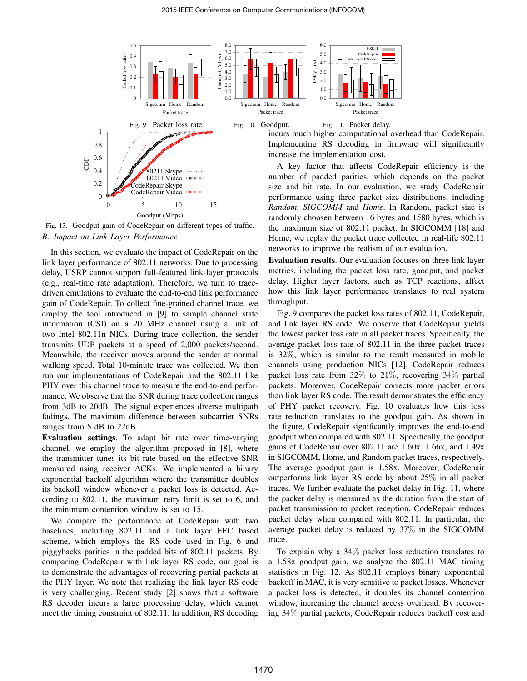

Fig. 13. Goodput gain of CodeRepair on different types of traffic. *B. Impact on Link Layer Performance*

In this section, we evaluate the impact of CodeRepair on the link layer performance of 802.11 networks. Due to processing delay, USRP cannot support full-featured link-layer protocols (e.g., real-time rate adaptation). Therefore, we turn to tracedriven emulations to evaluate the end-to-end link performance gain of CodeRepair. To collect fine-grained channel trace, we employ the tool introduced in [9] to sample channel state information (CSI) on a 20 MHz channel using a link of two Intel 802.11n NICs. During trace collection, the sender transmits UDP packets at a speed of 2,000 packets/second. Meanwhile, the receiver moves around the sender at normal walking speed. Total 10-minute trace was collected. We then run our implementations of CodeRepair and the 802.11 like PHY over this channel trace to measure the end-to-end performance. We observe that the SNR during trace collection ranges from 3dB to 20dB. The signal experiences diverse multipath fadings. The maximum difference between subcarrier SNRs ranges from 5 dB to 22dB.

Evaluation settings. To adapt bit rate over time-varying channel, we employ the algorithm proposed in [8], where the transmitter tunes its bit rate based on the effective SNR measured using receiver ACKs. We implemented a binary exponential backoff algorithm where the transmitter doubles its backoff window whenever a packet loss is detected. According to 802.11, the maximum retry limit is set to 6, and the minimum contention window is set to 15.

We compare the performance of CodeRepair with two baselines, including 802.11 and a link layer FEC based scheme, which employs the RS code used in Fig. 6 and piggybacks parities in the padded bits of 802.11 packets. By comparing CodeRepair with link layer RS code, our goal is to demonstrate the advantages of recovering partial packets at the PHY layer. We note that realizing the link layer RS code is very challenging. Recent study [2] shows that a software RS decoder incurs a large processing delay, which cannot meet the timing constraint of 802.11. In addition, RS decoding incurs much higher computational overhead than CodeRepair. Implementing RS decoding in firmware will significantly

A key factor that affects CodeRepair efficiency is the number of padded parities, which depends on the packet size and bit rate. In our evaluation, we study CodeRepair performance using three packet size distributions, including *Random*, *SIGCOMM* and *Home*. In Random, packet size is randomly choosen between 16 bytes and 1580 bytes, which is the maximum size of 802.11 packet. In SIGCOMM [18] and Home, we replay the packet trace collected in real-life 802.11 networks to improve the realism of our evaluation.

Evaluation results. Our evaluation focuses on three link layer metrics, including the packet loss rate, goodput, and packet delay. Higher layer factors, such as TCP reactions, affect how this link layer performance translates to real system throughput.

Fig. 9 compares the packet loss rates of 802.11, CodeRepair, and link layer RS code. We observe that CodeRepair yields the lowest packet loss rate in all packet traces. Specifically, the average packet loss rate of 802.11 in the three packet traces is 32%, which is similar to the result measured in mobile channels using production NICs [12]. CodeRepair reduces packet loss rate from 32% to 21%, recovering 34% partial packets. Moreover, CodeRepair corrects more packet errors than link layer RS code. The result demonstrates the efficiency of PHY packet recovery. Fig. 10 evaluates how this loss rate reduction translates to the goodput gain. As shown in the figure, CodeRepair significantly improves the end-to-end goodput when compared with 802.11. Specifically, the goodput gains of CodeRepair over 802.11 are 1.60x, 1.66x, and 1.49x in SIGCOMM, Home, and Random packet traces, respectively. The average goodput gain is 1.58x. Moreover, CodeRepair outperforms link layer RS code by about 25% in all packet traces. We further evaluate the packet delay in Fig. 11, where the packet delay is measured as the duration from the start of packet transmission to packet reception. CodeRepair reduces packet delay when compared with 802.11. In particular, the average packet delay is reduced by 37% in the SIGCOMM trace.

To explain why a 34% packet loss reduction translates to a 1.58x goodput gain, we analyze the 802.11 MAC timing statistics in Fig. 12. As 802.11 employs binary exponential backoff in MAC, it is very sensitive to packet losses. Whenever a packet loss is detected, it doubles its channel contention window, increasing the channel access overhead. By recovering 34% partial packets, CodeRepair reduces backoff cost and